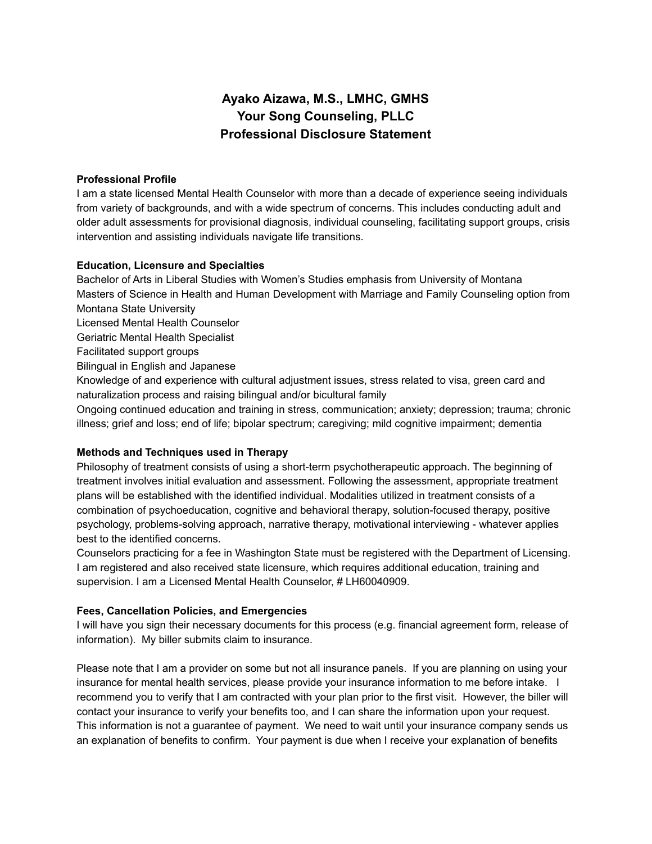# **Ayako Aizawa, M.S., LMHC, GMHS Your Song Counseling, PLLC Professional Disclosure Statement**

# **Professional Profile**

I am a state licensed Mental Health Counselor with more than a decade of experience seeing individuals from variety of backgrounds, and with a wide spectrum of concerns. This includes conducting adult and older adult assessments for provisional diagnosis, individual counseling, facilitating support groups, crisis intervention and assisting individuals navigate life transitions.

## **Education, Licensure and Specialties**

Bachelor of Arts in Liberal Studies with Women's Studies emphasis from University of Montana Masters of Science in Health and Human Development with Marriage and Family Counseling option from Montana State University Licensed Mental Health Counselor Geriatric Mental Health Specialist Facilitated support groups Bilingual in English and Japanese Knowledge of and experience with cultural adjustment issues, stress related to visa, green card and naturalization process and raising bilingual and/or bicultural family Ongoing continued education and training in stress, communication; anxiety; depression; trauma; chronic illness; grief and loss; end of life; bipolar spectrum; caregiving; mild cognitive impairment; dementia

# **Methods and Techniques used in Therapy**

Philosophy of treatment consists of using a short-term psychotherapeutic approach. The beginning of treatment involves initial evaluation and assessment. Following the assessment, appropriate treatment plans will be established with the identified individual. Modalities utilized in treatment consists of a combination of psychoeducation, cognitive and behavioral therapy, solution-focused therapy, positive psychology, problems-solving approach, narrative therapy, motivational interviewing - whatever applies best to the identified concerns.

Counselors practicing for a fee in Washington State must be registered with the Department of Licensing. I am registered and also received state licensure, which requires additional education, training and supervision. I am a Licensed Mental Health Counselor, # LH60040909.

#### **Fees, Cancellation Policies, and Emergencies**

I will have you sign their necessary documents for this process (e.g. financial agreement form, release of information). My biller submits claim to insurance.

Please note that I am a provider on some but not all insurance panels. If you are planning on using your insurance for mental health services, please provide your insurance information to me before intake. I recommend you to verify that I am contracted with your plan prior to the first visit. However, the biller will contact your insurance to verify your benefits too, and I can share the information upon your request. This information is not a guarantee of payment. We need to wait until your insurance company sends us an explanation of benefits to confirm. Your payment is due when I receive your explanation of benefits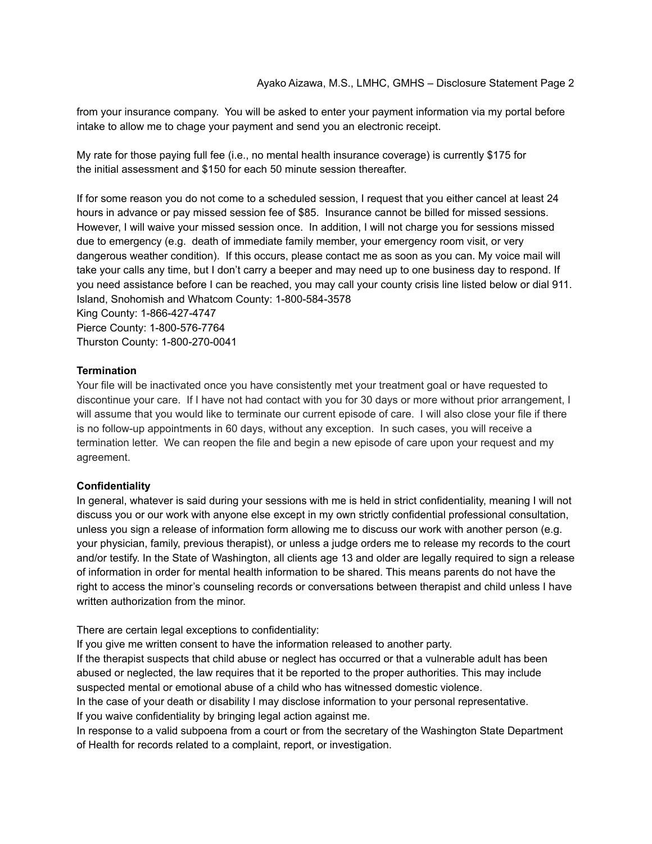from your insurance company. You will be asked to enter your payment information via my portal before intake to allow me to chage your payment and send you an electronic receipt.

My rate for those paying full fee (i.e., no mental health insurance coverage) is currently \$175 for the initial assessment and \$150 for each 50 minute session thereafter.

If for some reason you do not come to a scheduled session, I request that you either cancel at least 24 hours in advance or pay missed session fee of \$85. Insurance cannot be billed for missed sessions. However, I will waive your missed session once. In addition, I will not charge you for sessions missed due to emergency (e.g. death of immediate family member, your emergency room visit, or very dangerous weather condition). If this occurs, please contact me as soon as you can. My voice mail will take your calls any time, but I don't carry a beeper and may need up to one business day to respond. If you need assistance before I can be reached, you may call your county crisis line listed below or dial 911. Island, Snohomish and Whatcom County: 1-800-584-3578 King County: 1-866-427-4747 Pierce County: 1-800-576-7764

Thurston County: 1-800-270-0041

## **Termination**

Your file will be inactivated once you have consistently met your treatment goal or have requested to discontinue your care. If I have not had contact with you for 30 days or more without prior arrangement, I will assume that you would like to terminate our current episode of care. I will also close your file if there is no follow-up appointments in 60 days, without any exception. In such cases, you will receive a termination letter. We can reopen the file and begin a new episode of care upon your request and my agreement.

# **Confidentiality**

In general, whatever is said during your sessions with me is held in strict confidentiality, meaning I will not discuss you or our work with anyone else except in my own strictly confidential professional consultation, unless you sign a release of information form allowing me to discuss our work with another person (e.g. your physician, family, previous therapist), or unless a judge orders me to release my records to the court and/or testify. In the State of Washington, all clients age 13 and older are legally required to sign a release of information in order for mental health information to be shared. This means parents do not have the right to access the minor's counseling records or conversations between therapist and child unless I have written authorization from the minor.

There are certain legal exceptions to confidentiality:

If you give me written consent to have the information released to another party.

If the therapist suspects that child abuse or neglect has occurred or that a vulnerable adult has been abused or neglected, the law requires that it be reported to the proper authorities. This may include suspected mental or emotional abuse of a child who has witnessed domestic violence.

In the case of your death or disability I may disclose information to your personal representative. If you waive confidentiality by bringing legal action against me.

In response to a valid subpoena from a court or from the secretary of the Washington State Department of Health for records related to a complaint, report, or investigation.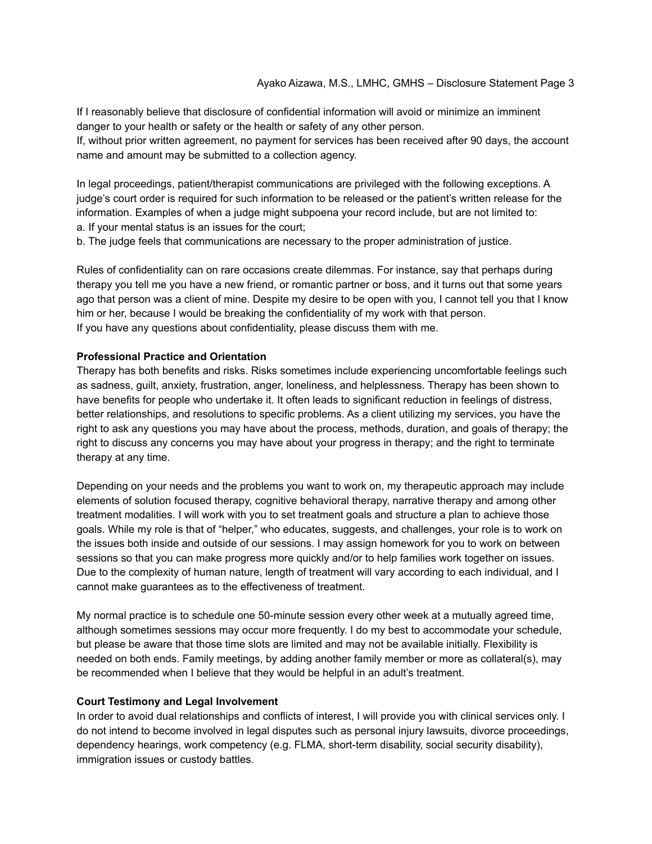If I reasonably believe that disclosure of confidential information will avoid or minimize an imminent danger to your health or safety or the health or safety of any other person.

If, without prior written agreement, no payment for services has been received after 90 days, the account name and amount may be submitted to a collection agency.

In legal proceedings, patient/therapist communications are privileged with the following exceptions. A judge's court order is required for such information to be released or the patient's written release for the information. Examples of when a judge might subpoena your record include, but are not limited to: a. If your mental status is an issues for the court;

b. The judge feels that communications are necessary to the proper administration of justice.

Rules of confidentiality can on rare occasions create dilemmas. For instance, say that perhaps during therapy you tell me you have a new friend, or romantic partner or boss, and it turns out that some years ago that person was a client of mine. Despite my desire to be open with you, I cannot tell you that I know him or her, because I would be breaking the confidentiality of my work with that person. If you have any questions about confidentiality, please discuss them with me.

#### **Professional Practice and Orientation**

Therapy has both benefits and risks. Risks sometimes include experiencing uncomfortable feelings such as sadness, guilt, anxiety, frustration, anger, loneliness, and helplessness. Therapy has been shown to have benefits for people who undertake it. It often leads to significant reduction in feelings of distress, better relationships, and resolutions to specific problems. As a client utilizing my services, you have the right to ask any questions you may have about the process, methods, duration, and goals of therapy; the right to discuss any concerns you may have about your progress in therapy; and the right to terminate therapy at any time.

Depending on your needs and the problems you want to work on, my therapeutic approach may include elements of solution focused therapy, cognitive behavioral therapy, narrative therapy and among other treatment modalities. I will work with you to set treatment goals and structure a plan to achieve those goals. While my role is that of "helper," who educates, suggests, and challenges, your role is to work on the issues both inside and outside of our sessions. I may assign homework for you to work on between sessions so that you can make progress more quickly and/or to help families work together on issues. Due to the complexity of human nature, length of treatment will vary according to each individual, and I cannot make guarantees as to the effectiveness of treatment.

My normal practice is to schedule one 50-minute session every other week at a mutually agreed time, although sometimes sessions may occur more frequently. I do my best to accommodate your schedule, but please be aware that those time slots are limited and may not be available initially. Flexibility is needed on both ends. Family meetings, by adding another family member or more as collateral(s), may be recommended when I believe that they would be helpful in an adult's treatment.

#### **Court Testimony and Legal Involvement**

In order to avoid dual relationships and conflicts of interest, I will provide you with clinical services only. I do not intend to become involved in legal disputes such as personal injury lawsuits, divorce proceedings, dependency hearings, work competency (e.g. FLMA, short-term disability, social security disability), immigration issues or custody battles.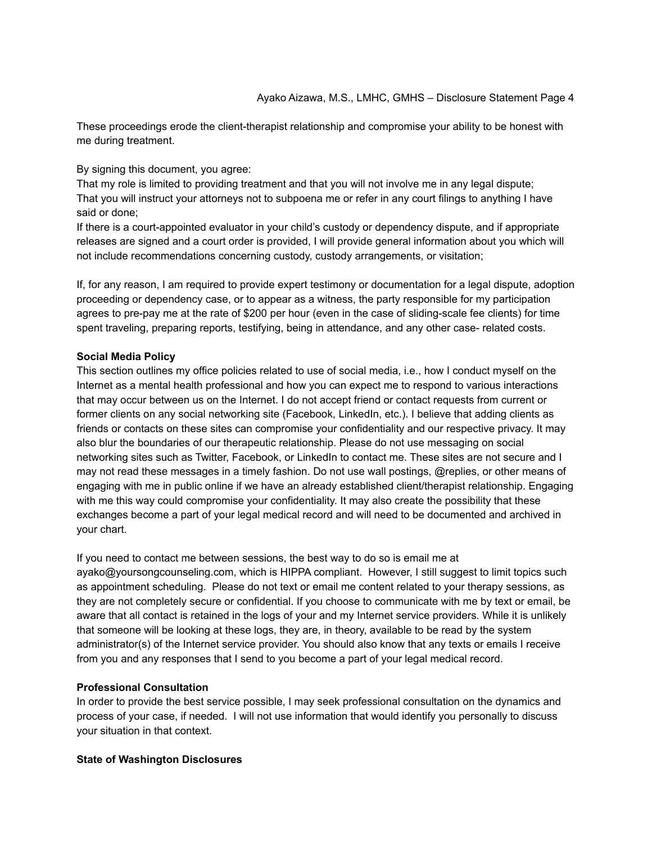These proceedings erode the client-therapist relationship and compromise your ability to be honest with me during treatment.

By signing this document, you agree:

That my role is limited to providing treatment and that you will not involve me in any legal dispute; That you will instruct your attorneys not to subpoena me or refer in any court filings to anything I have said or done;

If there is a court-appointed evaluator in your child's custody or dependency dispute, and if appropriate releases are signed and a court order is provided, I will provide general information about you which will not include recommendations concerning custody, custody arrangements, or visitation;

If, for any reason, I am required to provide expert testimony or documentation for a legal dispute, adoption proceeding or dependency case, or to appear as a witness, the party responsible for my participation agrees to pre-pay me at the rate of \$200 per hour (even in the case of sliding-scale fee clients) for time spent traveling, preparing reports, testifying, being in attendance, and any other case- related costs.

## **Social Media Policy**

This section outlines my office policies related to use of social media, i.e., how I conduct myself on the Internet as a mental health professional and how you can expect me to respond to various interactions that may occur between us on the Internet. I do not accept friend or contact requests from current or former clients on any social networking site (Facebook, LinkedIn, etc.). I believe that adding clients as friends or contacts on these sites can compromise your confidentiality and our respective privacy. It may also blur the boundaries of our therapeutic relationship. Please do not use messaging on social networking sites such as Twitter, Facebook, or LinkedIn to contact me. These sites are not secure and I may not read these messages in a timely fashion. Do not use wall postings, @replies, or other means of engaging with me in public online if we have an already established client/therapist relationship. Engaging with me this way could compromise your confidentiality. It may also create the possibility that these exchanges become a part of your legal medical record and will need to be documented and archived in your chart.

If you need to contact me between sessions, the best way to do so is email me at ayako@yoursongcounseling.com, which is HIPPA compliant. However, I still suggest to limit topics such as appointment scheduling. Please do not text or email me content related to your therapy sessions, as they are not completely secure or confidential. If you choose to communicate with me by text or email, be aware that all contact is retained in the logs of your and my Internet service providers. While it is unlikely that someone will be looking at these logs, they are, in theory, available to be read by the system administrator(s) of the Internet service provider. You should also know that any texts or emails I receive from you and any responses that I send to you become a part of your legal medical record.

#### **Professional Consultation**

In order to provide the best service possible, I may seek professional consultation on the dynamics and process of your case, if needed. I will not use information that would identify you personally to discuss your situation in that context.

# **State of Washington Disclosures**